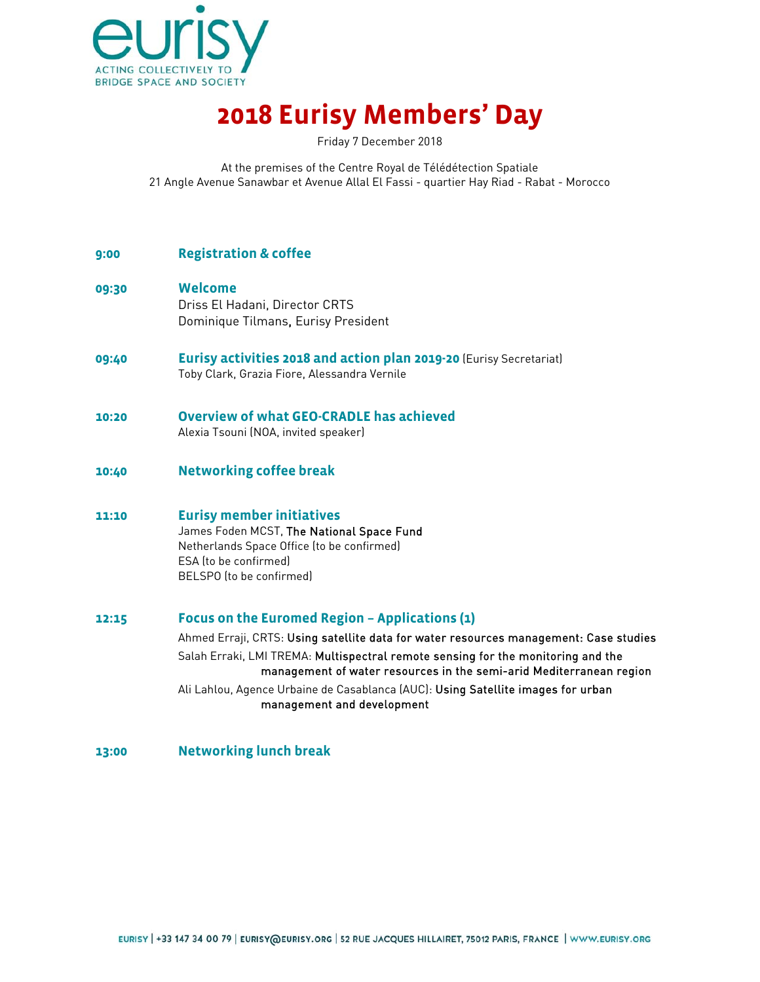

## **2018 Eurisy Members' Day**

Friday 7 December 2018

At the premises of the Centre Royal de Télédétection Spatiale 21 Angle Avenue Sanawbar et Avenue Allal El Fassi - quartier Hay Riad - Rabat - Morocco

## **9:00 Registration & coffee**

**09:30 Welcome** Driss El Hadani, Director CRTS

Dominique Tilmans, Eurisy President

- **09:40 Eurisy activities 2018 and action plan 2019-20** (Eurisy Secretariat) Toby Clark, Grazia Fiore, Alessandra Vernile
- **10:20 Overview of what GEO-CRADLE has achieved** Alexia Tsouni (NOA, invited speaker)
- **10:40 Networking coffee break**
- **11:10 Eurisy member initiatives**

James Foden MCST, The National Space Fund Netherlands Space Office (to be confirmed) ESA (to be confirmed) BELSPO (to be confirmed)

## **12:15 Focus on the Euromed Region – Applications (1)**

Ahmed Erraji, CRTS: Using satellite data for water resources management: Case studies Salah Erraki, LMI TREMA: Multispectral remote sensing for the monitoring and the management of water resources in the semi-arid Mediterranean region Ali Lahlou, Agence Urbaine de Casablanca (AUC): Using Satellite images for urban

management and development

**13:00 Networking lunch break**